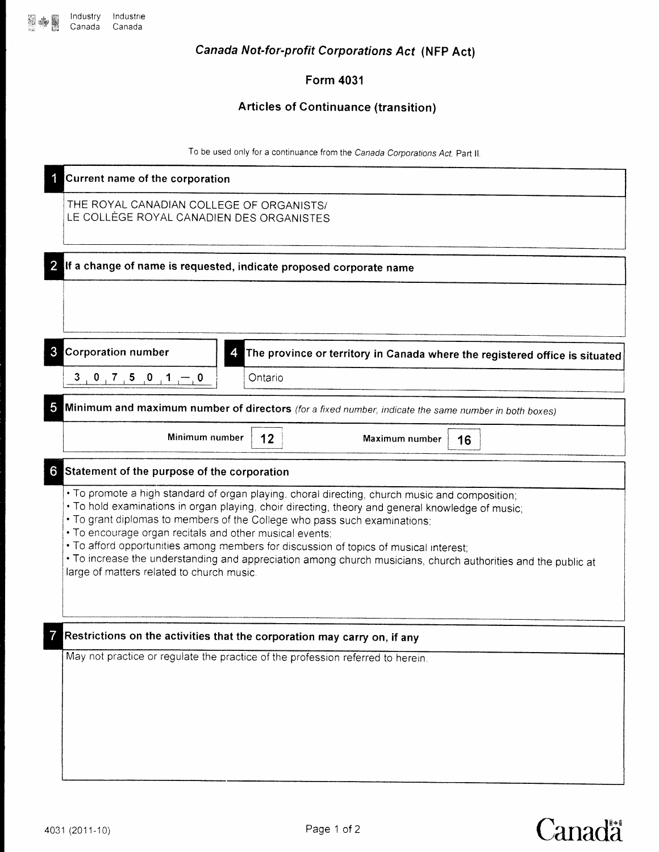Canada Not-for-profit Corporations Acf (NFp Act)

Form 4031

### Articles of Continuance (transition)

To be used only for a continuance from the Canada Corporations Act, Part II.

|                | Current name of the corporation                                                                                                                                                                                                                                                                                                                                                                                                                                                                                                                                                                   |
|----------------|---------------------------------------------------------------------------------------------------------------------------------------------------------------------------------------------------------------------------------------------------------------------------------------------------------------------------------------------------------------------------------------------------------------------------------------------------------------------------------------------------------------------------------------------------------------------------------------------------|
|                | THE ROYAL CANADIAN COLLEGE OF ORGANISTS/<br>LE COLLÈGE ROYAL CANADIEN DES ORGANISTES                                                                                                                                                                                                                                                                                                                                                                                                                                                                                                              |
| $\overline{2}$ | If a change of name is requested, indicate proposed corporate name                                                                                                                                                                                                                                                                                                                                                                                                                                                                                                                                |
|                |                                                                                                                                                                                                                                                                                                                                                                                                                                                                                                                                                                                                   |
| 3              | <b>Corporation number</b><br>The province or territory in Canada where the registered office is situated                                                                                                                                                                                                                                                                                                                                                                                                                                                                                          |
|                | $3 \t, 0 \t, 7 \t, 5 \t, 0 \t, 1 \t, 0$<br>Ontario                                                                                                                                                                                                                                                                                                                                                                                                                                                                                                                                                |
| 5              | Minimum and maximum number of directors (for a fixed number, indicate the same number in both boxes)                                                                                                                                                                                                                                                                                                                                                                                                                                                                                              |
|                | Minimum number<br>12<br>Maximum number<br>16                                                                                                                                                                                                                                                                                                                                                                                                                                                                                                                                                      |
| $6^{\circ}$    | Statement of the purpose of the corporation                                                                                                                                                                                                                                                                                                                                                                                                                                                                                                                                                       |
|                | • To promote a high standard of organ playing, choral directing, church music and composition;<br>. To hold examinations in organ playing, choir directing, theory and general knowledge of music;<br>. To grant diplomas to members of the College who pass such examinations;<br>. To encourage organ recitals and other musical events;<br>. To afford opportunities among members for discussion of topics of musical interest;<br>• To increase the understanding and appreciation among church musicians, church authorities and the public at<br>large of matters related to church music. |
| 7              | Restrictions on the activities that the corporation may carry on, if any                                                                                                                                                                                                                                                                                                                                                                                                                                                                                                                          |
|                | May not practice or regulate the practice of the profession referred to herein.                                                                                                                                                                                                                                                                                                                                                                                                                                                                                                                   |